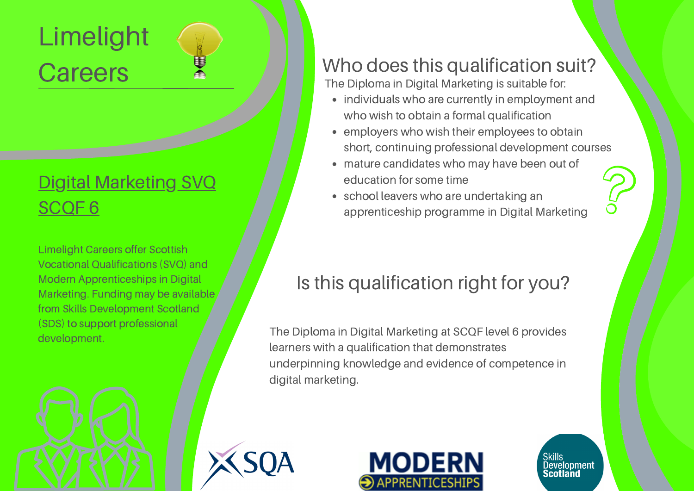# Limelight **Careers**

## Digital [Marketing](http://www.limelightcareers.co.uk/wp-content/uploads/2020/04/Diploma-in-Digital-Marketing-SCQF-Level-6.pdf) SVQ [SCQF](http://www.limelightcareers.co.uk/wp-content/uploads/2020/04/Diploma-in-Digital-Marketing-SCQF-Level-6.pdf) 6

Limelight Careers offer Scottish Vocational Qualifications (SVQ) and Modern Apprenticeships in Digital Marketing. Funding may be available from Skills Development Scotland (SDS) to support professional development.

#### Who does this qualification suit?

The Diploma in Digital Marketing is suitable for:

- individuals who are currently in employment and who wish to obtain a formal qualification
- employers who wish their employees to obtain short, continuing professional development courses
- mature candidates who may have been out of education for some time
- school leavers who are undertaking an apprenticeship programme in Digital Marketing

## Is this qualification right for you?

The Diploma in Digital Marketing at SCQF level 6 provides learners with a qualification that demonstrates underpinning knowledge and evidence of competence in digital marketing.







Skills<br>Development Scotland